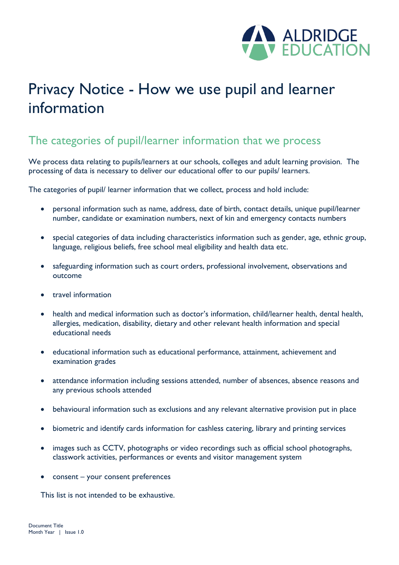

# Privacy Notice - How we use pupil and learner information

## The categories of pupil/learner information that we process

We process data relating to pupils/learners at our schools, colleges and adult learning provision. The processing of data is necessary to deliver our educational offer to our pupils/ learners.

The categories of pupil/ learner information that we collect, process and hold include:

- personal information such as name, address, date of birth, contact details, unique pupil/learner number, candidate or examination numbers, next of kin and emergency contacts numbers
- special categories of data including characteristics information such as gender, age, ethnic group, language, religious beliefs, free school meal eligibility and health data etc.
- safeguarding information such as court orders, professional involvement, observations and outcome
- travel information
- health and medical information such as doctor's information, child/learner health, dental health, allergies, medication, disability, dietary and other relevant health information and special educational needs
- educational information such as educational performance, attainment, achievement and examination grades
- attendance information including sessions attended, number of absences, absence reasons and any previous schools attended
- behavioural information such as exclusions and any relevant alternative provision put in place
- biometric and identify cards information for cashless catering, library and printing services
- images such as CCTV, photographs or video recordings such as official school photographs, classwork activities, performances or events and visitor management system
- consent your consent preferences

This list is not intended to be exhaustive.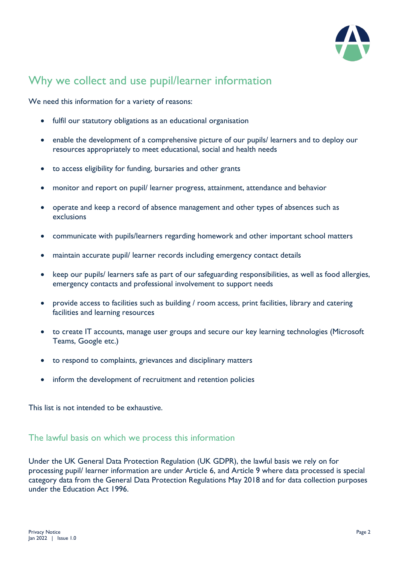

## Why we collect and use pupil/learner information

We need this information for a variety of reasons:

- fulfil our statutory obligations as an educational organisation
- enable the development of a comprehensive picture of our pupils/ learners and to deploy our resources appropriately to meet educational, social and health needs
- to access eligibility for funding, bursaries and other grants
- monitor and report on pupil/ learner progress, attainment, attendance and behavior
- operate and keep a record of absence management and other types of absences such as exclusions
- communicate with pupils/learners regarding homework and other important school matters
- maintain accurate pupil/ learner records including emergency contact details
- keep our pupils/ learners safe as part of our safeguarding responsibilities, as well as food allergies, emergency contacts and professional involvement to support needs
- provide access to facilities such as building / room access, print facilities, library and catering facilities and learning resources
- to create IT accounts, manage user groups and secure our key learning technologies (Microsoft Teams, Google etc.)
- to respond to complaints, grievances and disciplinary matters
- inform the development of recruitment and retention policies

This list is not intended to be exhaustive.

#### The lawful basis on which we process this information

Under the UK General Data Protection Regulation (UK GDPR), the lawful basis we rely on for processing pupil/ learner information are under Article 6, and Article 9 where data processed is special category data from the General Data Protection Regulations May 2018 and for data collection purposes under the Education Act 1996.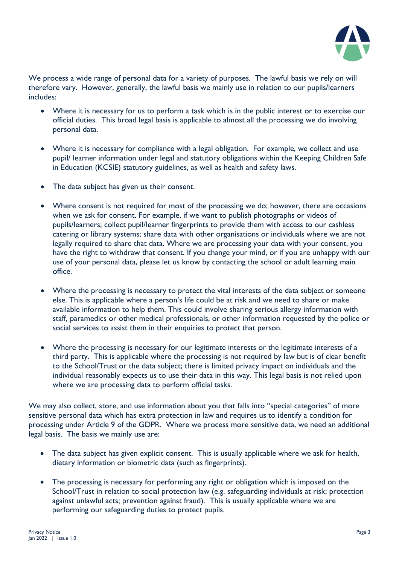

We process a wide range of personal data for a variety of purposes. The lawful basis we rely on will therefore vary. However, generally, the lawful basis we mainly use in relation to our pupils/learners includes:

- Where it is necessary for us to perform a task which is in the public interest or to exercise our official duties. This broad legal basis is applicable to almost all the processing we do involving personal data.
- Where it is necessary for compliance with a legal obligation. For example, we collect and use pupil/ learner information under legal and statutory obligations within the Keeping Children Safe in Education (KCSIE) statutory guidelines, as well as health and safety laws.
- The data subject has given us their consent.
- Where consent is not required for most of the processing we do; however, there are occasions when we ask for consent. For example, if we want to publish photographs or videos of pupils/learners; collect pupil/learner fingerprints to provide them with access to our cashless catering or library systems; share data with other organisations or individuals where we are not legally required to share that data. Where we are processing your data with your consent, you have the right to withdraw that consent. If you change your mind, or if you are unhappy with our use of your personal data, please let us know by contacting the school or adult learning main office.
- Where the processing is necessary to protect the vital interests of the data subject or someone else. This is applicable where a person's life could be at risk and we need to share or make available information to help them. This could involve sharing serious allergy information with staff, paramedics or other medical professionals, or other information requested by the police or social services to assist them in their enquiries to protect that person.
- Where the processing is necessary for our legitimate interests or the legitimate interests of a third party. This is applicable where the processing is not required by law but is of clear benefit to the School/Trust or the data subject; there is limited privacy impact on individuals and the individual reasonably expects us to use their data in this way. This legal basis is not relied upon where we are processing data to perform official tasks.

We may also collect, store, and use information about you that falls into "special categories" of more sensitive personal data which has extra protection in law and requires us to identify a condition for processing under Article 9 of the GDPR. Where we process more sensitive data, we need an additional legal basis. The basis we mainly use are:

- The data subject has given explicit consent. This is usually applicable where we ask for health, dietary information or biometric data (such as fingerprints).
- The processing is necessary for performing any right or obligation which is imposed on the School/Trust in relation to social protection law (e.g. safeguarding individuals at risk; protection against unlawful acts; prevention against fraud). This is usually applicable where we are performing our safeguarding duties to protect pupils.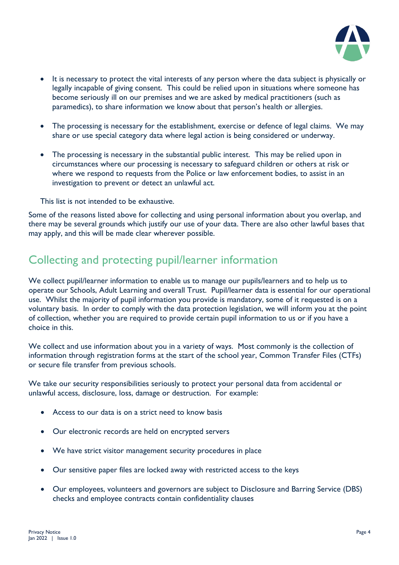

- It is necessary to protect the vital interests of any person where the data subject is physically or legally incapable of giving consent. This could be relied upon in situations where someone has become seriously ill on our premises and we are asked by medical practitioners (such as paramedics), to share information we know about that person's health or allergies.
- The processing is necessary for the establishment, exercise or defence of legal claims. We may share or use special category data where legal action is being considered or underway.
- The processing is necessary in the substantial public interest. This may be relied upon in circumstances where our processing is necessary to safeguard children or others at risk or where we respond to requests from the Police or law enforcement bodies, to assist in an investigation to prevent or detect an unlawful act.

This list is not intended to be exhaustive.

Some of the reasons listed above for collecting and using personal information about you overlap, and there may be several grounds which justify our use of your data. There are also other lawful bases that may apply, and this will be made clear wherever possible.

## Collecting and protecting pupil/learner information

We collect pupil/learner information to enable us to manage our pupils/learners and to help us to operate our Schools, Adult Learning and overall Trust. Pupil/learner data is essential for our operational use. Whilst the majority of pupil information you provide is mandatory, some of it requested is on a voluntary basis. In order to comply with the data protection legislation, we will inform you at the point of collection, whether you are required to provide certain pupil information to us or if you have a choice in this.

We collect and use information about you in a variety of ways. Most commonly is the collection of information through registration forms at the start of the school year, Common Transfer Files (CTFs) or secure file transfer from previous schools.

We take our security responsibilities seriously to protect your personal data from accidental or unlawful access, disclosure, loss, damage or destruction. For example:

- Access to our data is on a strict need to know basis
- Our electronic records are held on encrypted servers
- We have strict visitor management security procedures in place
- Our sensitive paper files are locked away with restricted access to the keys
- Our employees, volunteers and governors are subject to Disclosure and Barring Service (DBS) checks and employee contracts contain confidentiality clauses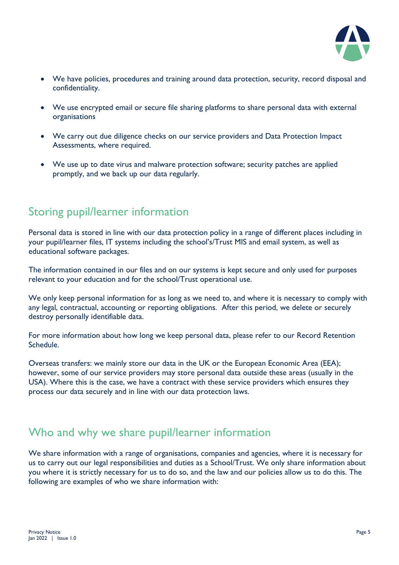

- We have policies, procedures and training around data protection, security, record disposal and confidentiality.
- We use encrypted email or secure file sharing platforms to share personal data with external organisations
- We carry out due diligence checks on our service providers and Data Protection Impact Assessments, where required.
- We use up to date virus and malware protection software; security patches are applied promptly, and we back up our data regularly.

## Storing pupil/learner information

Personal data is stored in line with our data protection policy in a range of different places including in your pupil/learner files, IT systems including the school's/Trust MIS and email system, as well as educational software packages.

The information contained in our files and on our systems is kept secure and only used for purposes relevant to your education and for the school/Trust operational use.

We only keep personal information for as long as we need to, and where it is necessary to comply with any legal, contractual, accounting or reporting obligations. After this period, we delete or securely destroy personally identifiable data.

For more information about how long we keep personal data, please refer to our Record Retention Schedule.

Overseas transfers: we mainly store our data in the UK or the European Economic Area (EEA); however, some of our service providers may store personal data outside these areas (usually in the USA). Where this is the case, we have a contract with these service providers which ensures they process our data securely and in line with our data protection laws.

### Who and why we share pupil/learner information

We share information with a range of organisations, companies and agencies, where it is necessary for us to carry out our legal responsibilities and duties as a School/Trust. We only share information about you where it is strictly necessary for us to do so, and the law and our policies allow us to do this. The following are examples of who we share information with: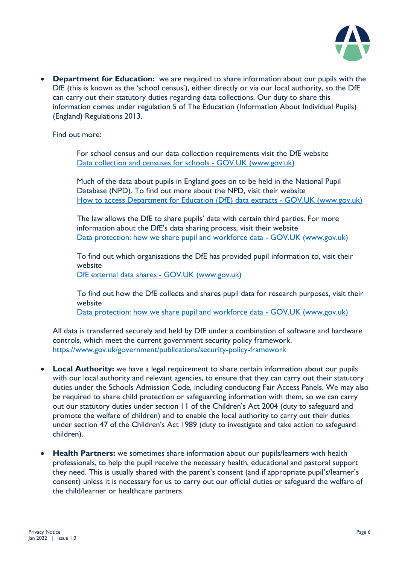

• **Department for Education:** we are required to share information about our pupils with the DfE (this is known as the 'school census'), either directly or via our local authority, so the DfE can carry out their statutory duties regarding data collections. Our duty to share this information comes under regulation 5 of The Education (Information About Individual Pupils) (England) Regulations 2013.

Find out more:

For school census and our data collection requirements visit the DfE website Data collection and censuses for schools - GOV.UK (www.gov.uk)

Much of the data about pupils in England goes on to be held in the National Pupil Database (NPD). To find out more about the NPD, visit their website How to access Department for Education (DfE) data extracts - GOV.UK (www.gov.uk)

The law allows the DfE to share pupils' data with certain third parties. For more information about the DfE's data sharing process, visit their website Data protection: how we share pupil and workforce data - GOV.UK (www.gov.uk)

To find out which organisations the DfE has provided pupil information to, visit their website DfE external data shares - GOV.UK (www.gov.uk)

To find out how the DfE collects and shares pupil data for research purposes, visit their website

[Data protection: how we share pupil and workforce data -](https://www.gov.uk/guidance/data-protection-how-we-collect-and-share-research-data) GOV.UK (www.gov.uk)

All data is transferred securely and held by DfE under a combination of software and hardware controls, which meet the current [government security policy framework.](https://www.gov.uk/government/publications/security-policy-framework) <https://www.gov.uk/government/publications/security-policy-framework>

- **Local Authority:** we have a legal requirement to share certain information about our pupils with our local authority and relevant agencies, to ensure that they can carry out their statutory duties under the Schools Admission Code, including conducting Fair Access Panels. We may also be required to share child protection or safeguarding information with them, so we can carry out our statutory duties under section 11 of the Children's Act 2004 (duty to safeguard and promote the welfare of children) and to enable the local authority to carry out their duties under section 47 of the Children's Act 1989 (duty to investigate and take action to safeguard children).
- **Health Partners:** we sometimes share information about our pupils/learners with health professionals, to help the pupil receive the necessary health, educational and pastoral support they need. This is usually shared with the parent's consent (and if appropriate pupil's/learner's consent) unless it is necessary for us to carry out our official duties or safeguard the welfare of the child/learner or healthcare partners.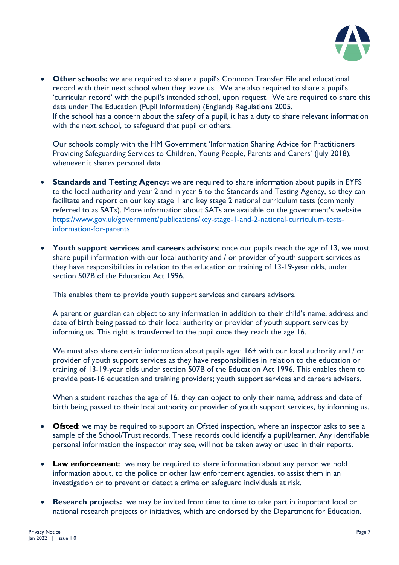

• **Other schools:** we are required to share a pupil's Common Transfer File and educational record with their next school when they leave us. We are also required to share a pupil's 'curricular record' with the pupil's intended school, upon request. We are required to share this data under The Education (Pupil Information) (England) Regulations 2005. If the school has a concern about the safety of a pupil, it has a duty to share relevant information with the next school, to safeguard that pupil or others.

Our schools comply with the HM Government 'Information Sharing Advice for Practitioners Providing Safeguarding Services to Children, Young People, Parents and Carers' (July 2018), whenever it shares personal data.

- **Standards and Testing Agency:** we are required to share information about pupils in EYFS to the local authority and year 2 and in year 6 to the Standards and Testing Agency, so they can facilitate and report on our key stage 1 and key stage 2 national curriculum tests (commonly referred to as SATs). More information about SATs are available on the government's website [https://www.gov.uk/government/publications/key-stage-1-and-2-national-curriculum-tests](https://www.gov.uk/government/publications/key-stage-1-and-2-national-curriculum-tests-information-for-parents)[information-for-parents](https://www.gov.uk/government/publications/key-stage-1-and-2-national-curriculum-tests-information-for-parents)
- **Youth support services and careers advisors**: once our pupils reach the age of 13, we must share pupil information with our local authority and / or provider of youth support services as they have responsibilities in relation to the education or training of 13-19-year olds, under section 507B of the Education Act 1996.

This enables them to provide youth support services and careers advisors.

A parent or guardian can object to any information in addition to their child's name, address and date of birth being passed to their local authority or provider of youth support services by informing us. This right is transferred to the pupil once they reach the age 16.

We must also share certain information about pupils aged 16+ with our local authority and / or provider of youth support services as they have responsibilities in relation to the education or training of 13-19-year olds under section 507B of the Education Act 1996. This enables them to provide post-16 education and training providers; youth support services and careers advisers.

When a student reaches the age of 16, they can object to only their name, address and date of birth being passed to their local authority or provider of youth support services, by informing us.

- **Ofsted**: we may be required to support an Ofsted inspection, where an inspector asks to see a sample of the School/Trust records. These records could identify a pupil/learner. Any identifiable personal information the inspector may see, will not be taken away or used in their reports.
- **Law enforcement**: we may be required to share information about any person we hold information about, to the police or other law enforcement agencies, to assist them in an investigation or to prevent or detect a crime or safeguard individuals at risk.
- **Research projects:** we may be invited from time to time to take part in important local or national research projects or initiatives, which are endorsed by the Department for Education.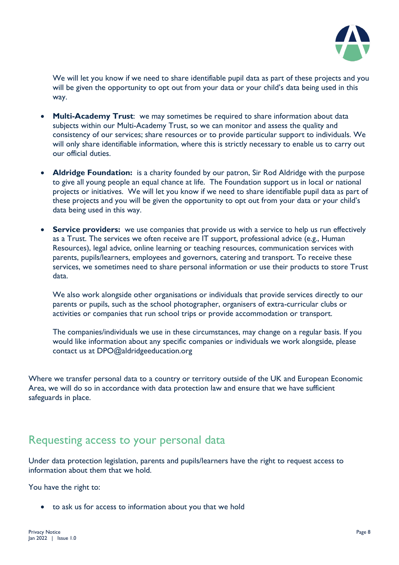

We will let you know if we need to share identifiable pupil data as part of these projects and you will be given the opportunity to opt out from your data or your child's data being used in this way.

- **Multi-Academy Trust**: we may sometimes be required to share information about data subjects within our Multi-Academy Trust, so we can monitor and assess the quality and consistency of our services; share resources or to provide particular support to individuals. We will only share identifiable information, where this is strictly necessary to enable us to carry out our official duties.
- **Aldridge Foundation:** is a charity founded by our patron, Sir Rod Aldridge with the purpose to give all young people an equal chance at life. The Foundation support us in local or national projects or initiatives. We will let you know if we need to share identifiable pupil data as part of these projects and you will be given the opportunity to opt out from your data or your child's data being used in this way.
- **Service providers:** we use companies that provide us with a service to help us run effectively as a Trust. The services we often receive are IT support, professional advice (e.g., Human Resources), legal advice, online learning or teaching resources, communication services with parents, pupils/learners, employees and governors, catering and transport. To receive these services, we sometimes need to share personal information or use their products to store Trust data.

We also work alongside other organisations or individuals that provide services directly to our parents or pupils, such as the school photographer, organisers of extra-curricular clubs or activities or companies that run school trips or provide accommodation or transport.

The companies/individuals we use in these circumstances, may change on a regular basis. If you would like information about any specific companies or individuals we work alongside, please contact us at DPO@aldridgeeducation.org

Where we transfer personal data to a country or territory outside of the UK and European Economic Area, we will do so in accordance with data protection law and ensure that we have sufficient safeguards in place.

#### Requesting access to your personal data

Under data protection legislation, parents and pupils/learners have the right to request access to information about them that we hold.

You have the right to:

• to ask us for access to information about you that we hold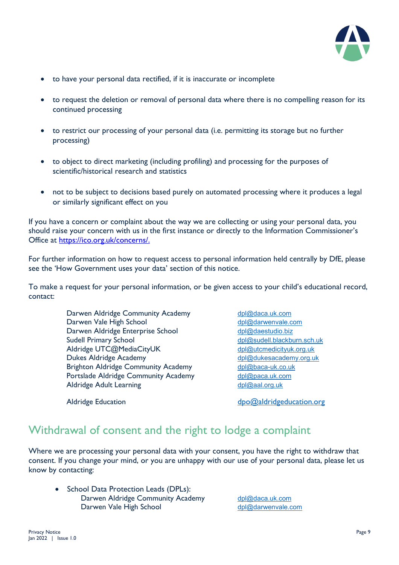

- to have your personal data rectified, if it is inaccurate or incomplete
- to request the deletion or removal of personal data where there is no compelling reason for its continued processing
- to restrict our processing of your personal data (i.e. permitting its storage but no further processing)
- to object to direct marketing (including profiling) and processing for the purposes of scientific/historical research and statistics
- not to be subject to decisions based purely on automated processing where it produces a legal or similarly significant effect on you

If you have a concern or complaint about the way we are collecting or using your personal data, you should raise your concern with us in the first instance or directly to the Information Commissioner's Office at [https://ico.org.uk/concerns/.](https://ico.org.uk/concerns/)

For further information on how to request access to personal information held centrally by DfE, please see the 'How Government uses your data' section of this notice.

To make a request for your personal information, or be given access to your child's educational record, contact:

> Darwen Aldridge Community Academy [dpl@daca.uk.com](mailto:dpl@daca.uk.com) Darwen Vale High School [dpl@darwenvale.com](mailto:dpl@darwenvale.com) Darwen Aldridge Enterprise School [dpl@daestudio.biz](mailto:dpl@daestudio.biz) Sudell Primary School [dpl@sudell.blackburn.sch.uk](mailto:dpl@sudell.blackburn.sch.uk) Aldridge UTC@MediaCityUK [dpl@utcmedicityuk.org.uk](mailto:dpl@utcmedicityuk.org.uk) Dukes Aldridge Academy [dpl@dukesacademy.org.uk](mailto:dpl@dukesacademy.org.uk) Brighton Aldridge Community Academy [dpl@baca-uk.co.uk](mailto:dpl@baca-uk.co.uk) Portslade Aldridge Community Academy [dpl@paca.uk.com](mailto:dpl@paca.uk.com) Aldridge Adult Learning [dpl@aal.org.uk](mailto:dpl@aal.org.uk)

Aldridge Education de Communication de Communication.org de Communication.org de Communication.org de Communication.org de Communication.org de Communication.org de Communication.org de Communication.org de Communication.o

#### Withdrawal of consent and the right to lodge a complaint

Where we are processing your personal data with your consent, you have the right to withdraw that consent. If you change your mind, or you are unhappy with our use of your personal data, please let us know by contacting:

• School Data Protection Leads (DPLs): Darwen Aldridge Community Academy [dpl@daca.uk.com](mailto:dpl@daca.uk.com) Darwen Vale High School [dpl@darwenvale.com](mailto:dpl@darwenvale.com)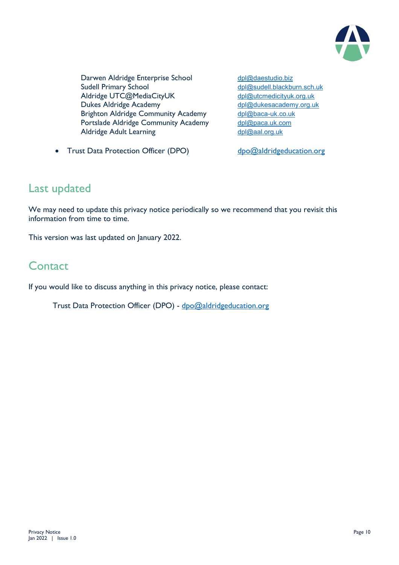

Darwen Aldridge Enterprise School [dpl@daestudio.biz](mailto:dpl@daestudio.biz) Sudell Primary School [dpl@sudell.blackburn.sch.uk](mailto:dpl@sudell.blackburn.sch.uk) Aldridge UTC@MediaCityUK [dpl@utcmedicityuk.org.uk](mailto:dpl@utcmedicityuk.org.uk)<br>
Dukes Aldridge Academy dpl@dukesacademy.org.uk Dukes Aldridge Academy Brighton Aldridge Community Academy [dpl@baca-uk.co.uk](mailto:dpl@baca-uk.co.uk) Portslade Aldridge Community Academy [dpl@paca.uk.com](mailto:dpl@paca.uk.com) Aldridge Adult Learning [dpl@aal.org.uk](mailto:dpl@aal.org.uk)

• Trust Data Protection Officer (DPO) [dpo@aldridgeducation.org](mailto:dpo@aldridgeducation.org)

#### Last updated

We may need to update this privacy notice periodically so we recommend that you revisit this information from time to time.

This version was last updated on January 2022.

## **Contact**

If you would like to discuss anything in this privacy notice, please contact:

Trust Data Protection Officer (DPO) - [dpo@aldridgeducation.org](mailto:dpo@aldridgeducation.org)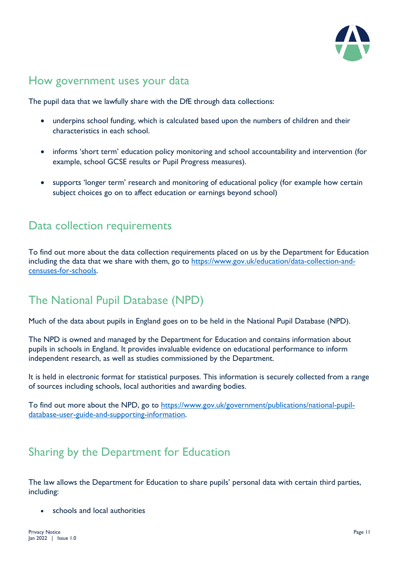

## How government uses your data

The pupil data that we lawfully share with the DfE through data collections:

- underpins school funding, which is calculated based upon the numbers of children and their characteristics in each school.
- informs 'short term' education policy monitoring and school accountability and intervention (for example, school GCSE results or Pupil Progress measures).
- supports 'longer term' research and monitoring of educational policy (for example how certain subject choices go on to affect education or earnings beyond school)

## Data collection requirements

To find out more about the data collection requirements placed on us by the Department for Education including the data that we share with them, go to [https://www.gov.uk/education/data-collection-and](https://www.gov.uk/education/data-collection-and-censuses-for-schools)[censuses-for-schools.](https://www.gov.uk/education/data-collection-and-censuses-for-schools)

## The National Pupil Database (NPD)

Much of the data about pupils in England goes on to be held in the National Pupil Database (NPD).

The NPD is owned and managed by the Department for Education and contains information about pupils in schools in England. It provides invaluable evidence on educational performance to inform independent research, as well as studies commissioned by the Department.

It is held in electronic format for statistical purposes. This information is securely collected from a range of sources including schools, local authorities and awarding bodies.

To find out more about the NPD, go to [https://www.gov.uk/government/publications/national-pupil](https://www.gov.uk/government/publications/national-pupil-database-user-guide-and-supporting-information)[database-user-guide-and-supporting-information.](https://www.gov.uk/government/publications/national-pupil-database-user-guide-and-supporting-information)

## Sharing by the Department for Education

The law allows the Department for Education to share pupils' personal data with certain third parties, including:

schools and local authorities